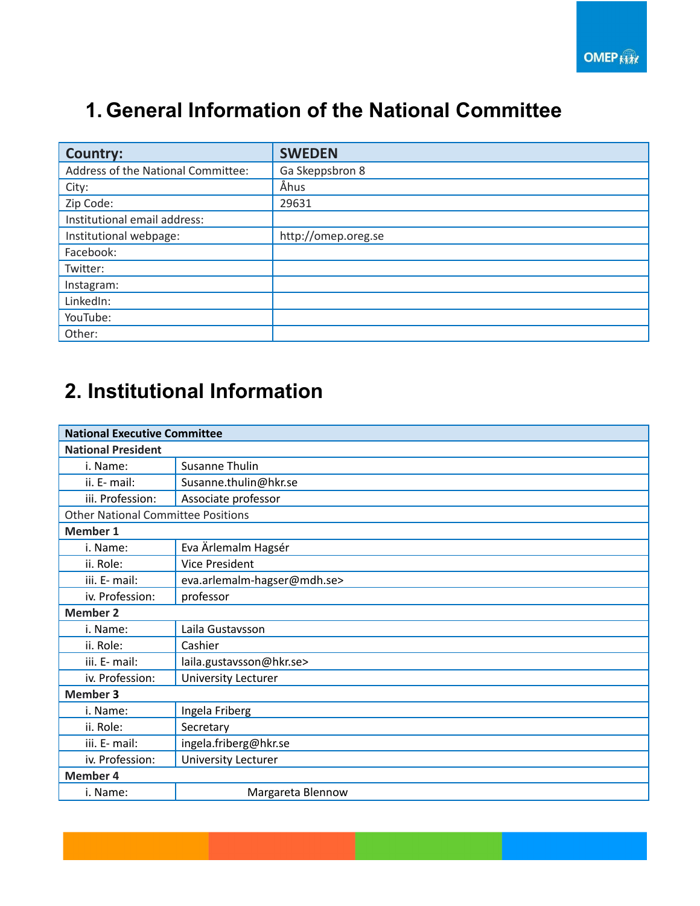### **1. General Information of the National Committee**

| <b>Country:</b>                    | <b>SWEDEN</b>       |
|------------------------------------|---------------------|
| Address of the National Committee: | Ga Skeppsbron 8     |
| City:                              | Åhus                |
| Zip Code:                          | 29631               |
| Institutional email address:       |                     |
| Institutional webpage:             | http://omep.oreg.se |
| Facebook:                          |                     |
| Twitter:                           |                     |
| Instagram:                         |                     |
| LinkedIn:                          |                     |
| YouTube:                           |                     |
| Other:                             |                     |

## **2. Institutional Information**

| <b>National Executive Committee</b>       |                             |  |
|-------------------------------------------|-----------------------------|--|
| <b>National President</b>                 |                             |  |
| i. Name:                                  | Susanne Thulin              |  |
| ii. E- mail:                              | Susanne.thulin@hkr.se       |  |
| iii. Profession:                          | Associate professor         |  |
| <b>Other National Committee Positions</b> |                             |  |
| <b>Member 1</b>                           |                             |  |
| i. Name:                                  | Eva Ärlemalm Hagsér         |  |
| ii. Role:                                 | <b>Vice President</b>       |  |
| iii. E- mail:                             | eva.arlemalm-hagser@mdh.se> |  |
| iv. Profession:                           | professor                   |  |
| <b>Member 2</b>                           |                             |  |
| i. Name:                                  | Laila Gustavsson            |  |
| ii. Role:                                 | Cashier                     |  |
| iii. E- mail:                             | laila.gustavsson@hkr.se>    |  |
| iv. Profession:                           | University Lecturer         |  |
| <b>Member 3</b>                           |                             |  |
| i. Name:                                  | Ingela Friberg              |  |
| ii. Role:                                 | Secretary                   |  |
| iii. E- mail:                             | ingela.friberg@hkr.se       |  |
| iv. Profession:                           | University Lecturer         |  |
| <b>Member 4</b>                           |                             |  |
| i. Name:                                  | Margareta Blennow           |  |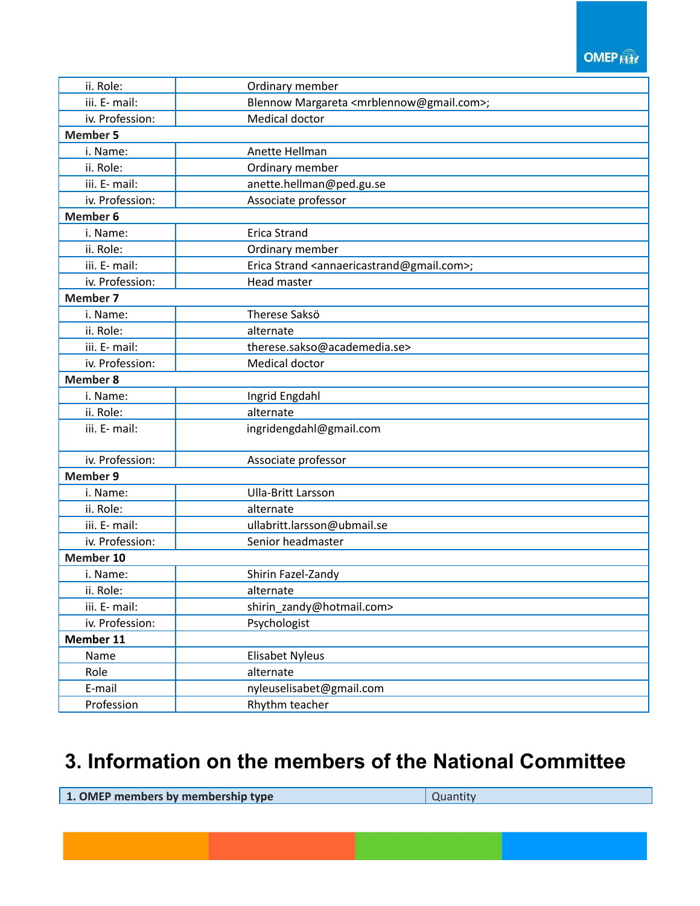#### **OMEP Kitt**

| ii. Role:       | Ordinary member                                                       |
|-----------------|-----------------------------------------------------------------------|
| iii. E- mail:   | Blennow Margareta <mrblennow@gmail.com>;</mrblennow@gmail.com>        |
| iv. Profession: | Medical doctor                                                        |
| <b>Member 5</b> |                                                                       |
| i. Name:        | Anette Hellman                                                        |
| ii. Role:       | Ordinary member                                                       |
| iii. E- mail:   | anette.hellman@ped.gu.se                                              |
| iv. Profession: | Associate professor                                                   |
| <b>Member 6</b> |                                                                       |
| i. Name:        | <b>Erica Strand</b>                                                   |
| ii. Role:       | Ordinary member                                                       |
| iii. E- mail:   | Erica Strand <annaericastrand@gmail.com>;</annaericastrand@gmail.com> |
| iv. Profession: | Head master                                                           |
| <b>Member 7</b> |                                                                       |
| i. Name:        | Therese Saksö                                                         |
| ii. Role:       | alternate                                                             |
| iii. E- mail:   | therese.sakso@academedia.se>                                          |
| iv. Profession: | Medical doctor                                                        |
| <b>Member 8</b> |                                                                       |
| i. Name:        | Ingrid Engdahl                                                        |
| ii. Role:       | alternate                                                             |
| iii. E- mail:   | ingridengdahl@gmail.com                                               |
| iv. Profession: | Associate professor                                                   |
| <b>Member 9</b> |                                                                       |
| i. Name:        | <b>Ulla-Britt Larsson</b>                                             |
| ii. Role:       | alternate                                                             |
| iii. E- mail:   | ullabritt.larsson@ubmail.se                                           |
| iv. Profession: | Senior headmaster                                                     |
| Member 10       |                                                                       |
| i. Name:        | Shirin Fazel-Zandy                                                    |
| ii. Role:       | alternate                                                             |
| iii. E- mail:   | shirin zandy@hotmail.com>                                             |
| iv. Profession: | Psychologist                                                          |
| Member 11       |                                                                       |
| Name            | Elisabet Nyleus                                                       |
| Role            | alternate                                                             |
| E-mail          | nyleuselisabet@gmail.com                                              |
| Profession      | Rhythm teacher                                                        |

### **3. Information on the members of the National Committee**

**1. OMEP** members by membership type  $\vert$  Quantity